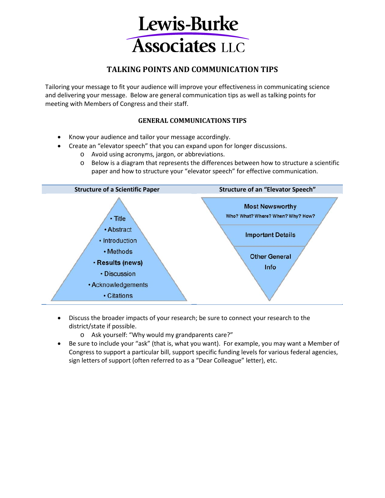

# **TALKING POINTS AND COMMUNICATION TIPS**

Tailoring your message to fit your audience will improve your effectiveness in communicating science and delivering your message. Below are general communication tips as well as talking points for meeting with Members of Congress and their staff.

# **GENERAL COMMUNICATIONS TIPS**

- Know your audience and tailor your message accordingly.
- Create an "elevator speech" that you can expand upon for longer discussions.
	- o Avoid using acronyms, jargon, or abbreviations.
	- o Below is a diagram that represents the differences between how to structure a scientific paper and how to structure your "elevator speech" for effective communication.



- Discuss the broader impacts of your research; be sure to connect your research to the district/state if possible.
	- o Ask yourself: "Why would my grandparents care?"
- Be sure to include your "ask" (that is, what you want). For example, you may want a Member of Congress to support a particular bill, support specific funding levels for various federal agencies, sign letters of support (often referred to as a "Dear Colleague" letter), etc.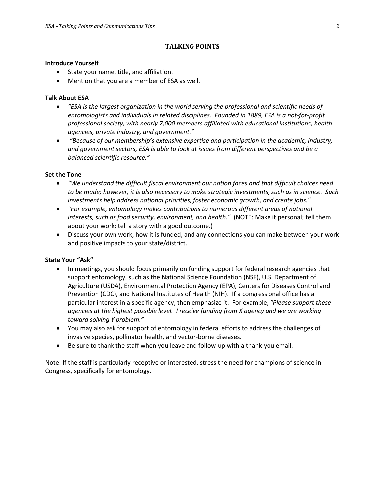# **TALKING POINTS**

### **Introduce Yourself**

- State your name, title, and affiliation.
- Mention that you are a member of ESA as well.

### **Talk About ESA**

- *"ESA is the largest organization in the world serving the professional and scientific needs of entomologists and individuals in related disciplines. Founded in 1889, ESA is a not-for-profit professional society, with nearly 7,000 members affiliated with educational institutions, health agencies, private industry, and government."*
- *"Because of our membership's extensive expertise and participation in the academic, industry, and government sectors, ESA is able to look at issues from different perspectives and be a balanced scientific resource."*

### **Set the Tone**

- *"We understand the difficult fiscal environment our nation faces and that difficult choices need to be made; however, it is also necessary to make strategic investments, such as in science. Such investments help address national priorities, foster economic growth, and create jobs."*
- *"For example, entomology makes contributions to numerous different areas of national interests, such as food security, environment, and health."* (NOTE: Make it personal; tell them about your work; tell a story with a good outcome.)
- Discuss your own work, how it is funded, and any connections you can make between your work and positive impacts to your state/district.

## **State Your "Ask"**

- In meetings, you should focus primarily on funding support for federal research agencies that support entomology, such as the National Science Foundation (NSF), U.S. Department of Agriculture (USDA), Environmental Protection Agency (EPA), Centers for Diseases Control and Prevention (CDC), and National Institutes of Health (NIH). If a congressional office has a particular interest in a specific agency, then emphasize it. For example, *"Please support these agencies at the highest possible level. I receive funding from X agency and we are working toward solving Y problem."*
- You may also ask for support of entomology in federal efforts to address the challenges of invasive species, pollinator health, and vector-borne diseases.
- Be sure to thank the staff when you leave and follow-up with a thank-you email.

Note: If the staff is particularly receptive or interested, stress the need for champions of science in Congress, specifically for entomology.